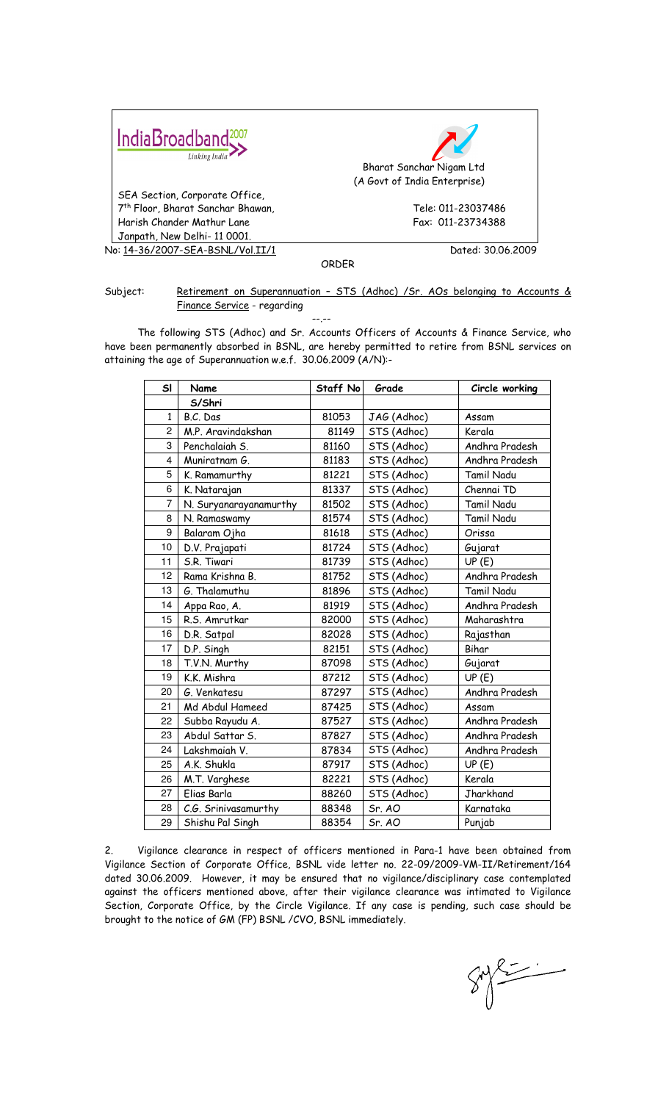| IndiaBroadband <sup>2007</sup><br>Linking India | Bharat Sanchar Nigam Ltd<br>(A Govt of India Enterprise) |  |
|-------------------------------------------------|----------------------------------------------------------|--|
| SEA Section, Corporate Office,                  |                                                          |  |
| 7 <sup>th</sup> Floor, Bharat Sanchar Bhawan,   | Tele: 011-23037486                                       |  |
| Harish Chander Mathur Lane                      | Fax: 011-23734388                                        |  |
| Janpath, New Delhi- 11 0001.                    |                                                          |  |
| No: 14-36/2007-SEA-BSNL/Vol.II/1                | Dated: 30.06.2009                                        |  |

ORDER

## Subject: Retirement on Superannuation - STS (Adhoc) / Sr. AOs belonging to Accounts & Finance Service - regarding

--.-- The following STS (Adhoc) and Sr. Accounts Officers of Accounts & Finance Service, who have been permanently absorbed in BSNL, are hereby permitted to retire from BSNL services on attaining the age of Superannuation w.e.f. 30.06.2009 (A/N):-

| SI             | Name                   | Staff No | Grade       | Circle working    |
|----------------|------------------------|----------|-------------|-------------------|
|                | S/Shri                 |          |             |                   |
| $\mathbf{1}$   | B.C. Das               | 81053    | JAG (Adhoc) | Assam             |
| $\overline{2}$ | M.P. Aravindakshan     | 81149    | STS (Adhoc) | Kerala            |
| 3              | Penchalaiah S.         | 81160    | STS (Adhoc) | Andhra Pradesh    |
| 4              | Muniratnam G.          | 81183    | STS (Adhoc) | Andhra Pradesh    |
| 5              | K. Ramamurthy          | 81221    | STS (Adhoc) | Tamil Nadu        |
| 6              | K. Natarajan           | 81337    | STS (Adhoc) | Chennai TD        |
| $\overline{7}$ | N. Suryanarayanamurthy | 81502    | STS (Adhoc) | <b>Tamil Nadu</b> |
| 8              | N. Ramaswamy           | 81574    | STS (Adhoc) | <b>Tamil Nadu</b> |
| 9              | Balaram Ojha           | 81618    | STS (Adhoc) | Orissa            |
| 10             | D.V. Prajapati         | 81724    | STS (Adhoc) | Gujarat           |
| 11             | S.R. Tiwari            | 81739    | STS (Adhoc) | UP(E)             |
| 12             | Rama Krishna B.        | 81752    | STS (Adhoc) | Andhra Pradesh    |
| 13             | G. Thalamuthu          | 81896    | STS (Adhoc) | <b>Tamil Nadu</b> |
| 14             | Appa Rao, A.           | 81919    | STS (Adhoc) | Andhra Pradesh    |
| 15             | R.S. Amrutkar          | 82000    | STS (Adhoc) | Maharashtra       |
| 16             | D.R. Satpal            | 82028    | STS (Adhoc) | Rajasthan         |
| 17             | D.P. Singh             | 82151    | STS (Adhoc) | Bihar             |
| 18             | T.V.N. Murthy          | 87098    | STS (Adhoc) | Gujarat           |
| 19             | K.K. Mishra            | 87212    | STS (Adhoc) | UP(E)             |
| 20             | G. Venkatesu           | 87297    | STS (Adhoc) | Andhra Pradesh    |
| 21             | Md Abdul Hameed        | 87425    | STS (Adhoc) | Assam             |
| 22             | Subba Rayudu A.        | 87527    | STS (Adhoc) | Andhra Pradesh    |
| 23             | Abdul Sattar S.        | 87827    | STS (Adhoc) | Andhra Pradesh    |
| 24             | Lakshmaiah V.          | 87834    | STS (Adhoc) | Andhra Pradesh    |
| 25             | A.K. Shukla            | 87917    | STS (Adhoc) | UP(E)             |
| 26             | M.T. Varghese          | 82221    | STS (Adhoc) | Kerala            |
| 27             | Elias Barla            | 88260    | STS (Adhoc) | Jharkhand         |
| 28             | C.G. Srinivasamurthy   | 88348    | Sr. AO      | Karnataka         |
| 29             | Shishu Pal Singh       | 88354    | Sr. AO      | Punjab            |

2. Vigilance clearance in respect of officers mentioned in Para-1 have been obtained from Vigilance Section of Corporate Office, BSNL vide letter no. 22-09/2009-VM-II/Retirement/164 dated 30.06.2009. However, it may be ensured that no vigilance/disciplinary case contemplated against the officers mentioned above, after their vigilance clearance was intimated to Vigilance Section, Corporate Office, by the Circle Vigilance. If any case is pending, such case should be brought to the notice of GM (FP) BSNL /CVO, BSNL immediately.

 $8922$